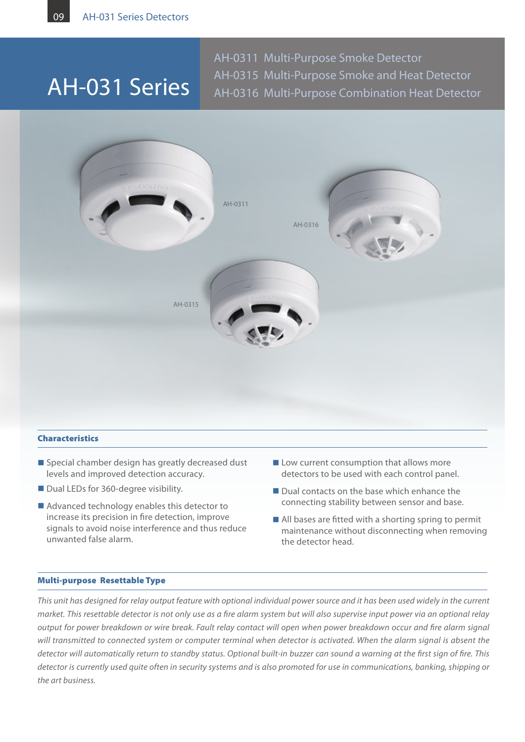## AH-031 Series

AH-0311 Multi-Purpose Smoke Detector AH-0315 Multi-Purpose Smoke and Heat Detector AH-0316 Multi-Purpose Combination Heat Detector



#### Characteristics

- $\blacksquare$  Special chamber design has greatly decreased dust levels and improved detection accuracy.
- Dual LEDs for 360-degree visibility.
- $\blacksquare$  Advanced technology enables this detector to increase its precision in fire detection, improve signals to avoid noise interference and thus reduce unwanted false alarm.
- $\blacksquare$  Low current consumption that allows more detectors to be used with each control panel.
- $\blacksquare$  Dual contacts on the base which enhance the connecting stability between sensor and base.
- $\blacksquare$  All bases are fitted with a shorting spring to permit maintenance without disconnecting when removing the detector head.

#### Multi-purpose Resettable Type

*This unit has designed for relay output feature with optional individual power source and it has been used widely in the current market. This resettable detector is not only use as a fire alarm system but will also supervise input power via an optional relay output for power breakdown or wire break. Fault relay contact will open when power breakdown occur and fire alarm signal will transmitted to connected system or computer terminal when detector is activated. When the alarm signal is absent the detector will automatically return to standby status. Optional built-in buzzer can sound a warning at the first sign of fire. This detector is currently used quite often in security systems and is also promoted for use in communications, banking, shipping or the art business.*